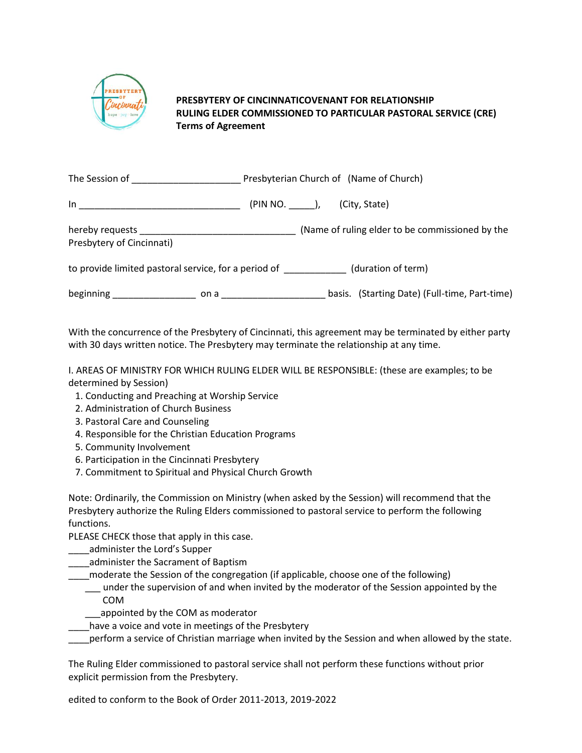

## **PRESBYTERY OF CINCINNATICOVENANT FOR RELATIONSHIP RULING ELDER COMMISSIONED TO PARTICULAR PASTORAL SERVICE (CRE) Terms of Agreement**

| The Session of <b>Example 20</b>                                                                      |                                                                                                                | Presbyterian Church of (Name of Church) |                                                 |  |  |  |
|-------------------------------------------------------------------------------------------------------|----------------------------------------------------------------------------------------------------------------|-----------------------------------------|-------------------------------------------------|--|--|--|
| $\ln$ and $\ln$ and $\ln$ and $\ln$ and $\ln$ and $\ln$                                               |                                                                                                                |                                         |                                                 |  |  |  |
| Presbytery of Cincinnati)                                                                             |                                                                                                                |                                         | (Name of ruling elder to be commissioned by the |  |  |  |
| (duration of term) to provide limited pastoral service, for a period of the metal of the mode of term |                                                                                                                |                                         |                                                 |  |  |  |
| beginning <b>beginning</b>                                                                            | on a contract on a contract of the set of the set of the set of the set of the set of the set of the set of th |                                         | basis. (Starting Date) (Full-time, Part-time)   |  |  |  |

With the concurrence of the Presbytery of Cincinnati, this agreement may be terminated by either party with 30 days written notice. The Presbytery may terminate the relationship at any time.

I. AREAS OF MINISTRY FOR WHICH RULING ELDER WILL BE RESPONSIBLE: (these are examples; to be determined by Session)

- 1. Conducting and Preaching at Worship Service
- 2. Administration of Church Business
- 3. Pastoral Care and Counseling
- 4. Responsible for the Christian Education Programs
- 5. Community Involvement
- 6. Participation in the Cincinnati Presbytery
- 7. Commitment to Spiritual and Physical Church Growth

Note: Ordinarily, the Commission on Ministry (when asked by the Session) will recommend that the Presbytery authorize the Ruling Elders commissioned to pastoral service to perform the following functions.

PLEASE CHECK those that apply in this case.

- \_\_\_\_administer the Lord's Supper
- \_\_\_\_administer the Sacrament of Baptism
- \_\_\_\_moderate the Session of the congregation (if applicable, choose one of the following)
	- under the supervision of and when invited by the moderator of the Session appointed by the COM
		- appointed by the COM as moderator
- \_\_\_\_have a voice and vote in meetings of the Presbytery
- \_\_\_\_perform a service of Christian marriage when invited by the Session and when allowed by the state.

The Ruling Elder commissioned to pastoral service shall not perform these functions without prior explicit permission from the Presbytery.

edited to conform to the Book of Order 2011-2013, 2019-2022